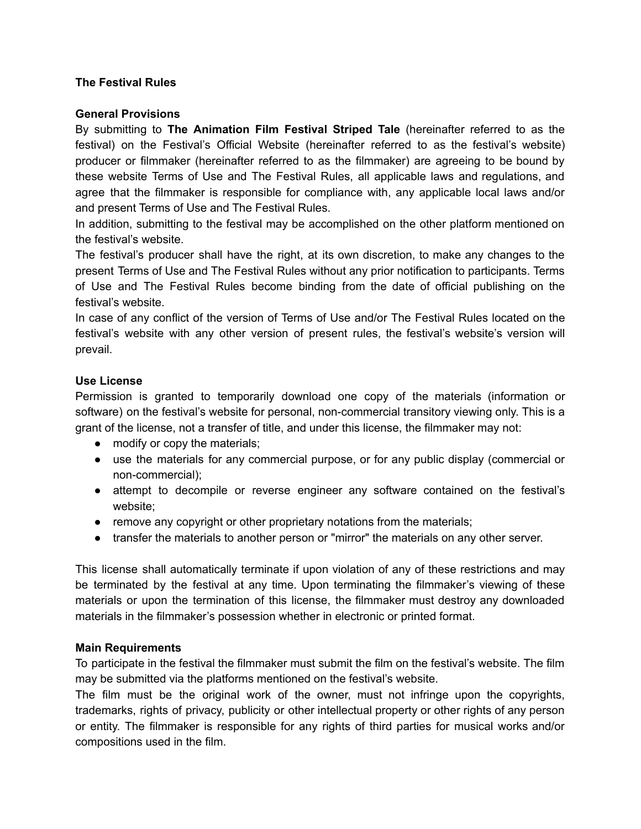### **The Festival Rules**

#### **General Provisions**

By submitting to **The Animation Film Festival Striped Tale** (hereinafter referred to as the festival) on the Festival's Official Website (hereinafter referred to as the festival's website) producer or filmmaker (hereinafter referred to as the filmmaker) are agreeing to be bound by these website Terms of Use and The Festival Rules, all applicable laws and regulations, and agree that the filmmaker is responsible for compliance with, any applicable local laws and/or and present Terms of Use and The Festival Rules.

In addition, submitting to the festival may be accomplished on the other platform mentioned on the festival's website.

The festival's producer shall have the right, at its own discretion, to make any changes to the present Terms of Use and The Festival Rules without any prior notification to participants. Terms of Use and The Festival Rules become binding from the date of official publishing on the festival's website.

In case of any conflict of the version of Terms of Use and/or The Festival Rules located on the festival's website with any other version of present rules, the festival's website's version will prevail.

#### **Use License**

Permission is granted to temporarily download one copy of the materials (information or software) on the festival's website for personal, non-commercial transitory viewing only. This is a grant of the license, not a transfer of title, and under this license, the filmmaker may not:

- modify or copy the materials;
- use the materials for any commercial purpose, or for any public display (commercial or non-commercial);
- attempt to decompile or reverse engineer any software contained on the festival's website;
- remove any copyright or other proprietary notations from the materials;
- transfer the materials to another person or "mirror" the materials on any other server.

This license shall automatically terminate if upon violation of any of these restrictions and may be terminated by the festival at any time. Upon terminating the filmmaker's viewing of these materials or upon the termination of this license, the filmmaker must destroy any downloaded materials in the filmmaker's possession whether in electronic or printed format.

#### **Main Requirements**

To participate in the festival the filmmaker must submit the film on the festival's website. The film may be submitted via the platforms mentioned on the festival's website.

The film must be the original work of the owner, must not infringe upon the copyrights, trademarks, rights of privacy, publicity or other intellectual property or other rights of any person or entity. The filmmaker is responsible for any rights of third parties for musical works and/or compositions used in the film.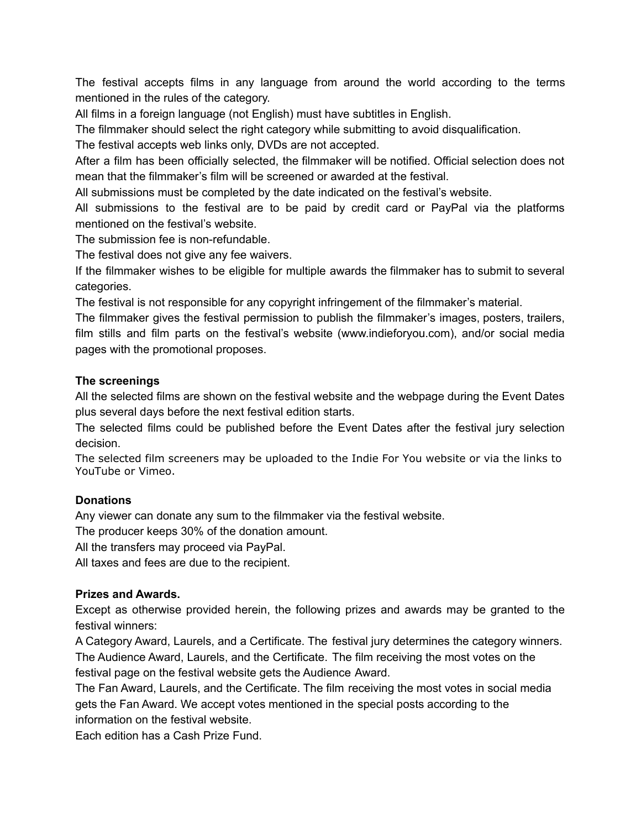The festival accepts films in any language from around the world according to the terms mentioned in the rules of the category.

All films in a foreign language (not English) must have subtitles in English.

The filmmaker should select the right category while submitting to avoid disqualification.

The festival accepts web links only, DVDs are not accepted.

After a film has been officially selected, the filmmaker will be notified. Official selection does not mean that the filmmaker's film will be screened or awarded at the festival.

All submissions must be completed by the date indicated on the festival's website.

All submissions to the festival are to be paid by credit card or PayPal via the platforms mentioned on the festival's website.

The submission fee is non-refundable.

The festival does not give any fee waivers.

If the filmmaker wishes to be eligible for multiple awards the filmmaker has to submit to several categories.

The festival is not responsible for any copyright infringement of the filmmaker's material.

The filmmaker gives the festival permission to publish the filmmaker's images, posters, trailers, film stills and film parts on the festival's website (www.indieforyou.com), and/or social media pages with the promotional proposes.

### **The screenings**

All the selected films are shown on the festival website and the webpage during the Event Dates plus several days before the next festival edition starts.

The selected films could be published before the Event Dates after the festival jury selection decision.

The selected film screeners may be uploaded to the Indie For You website or via the links to YouTube or Vimeo.

### **Donations**

Any viewer can donate any sum to the filmmaker via the festival website.

The producer keeps 30% of the donation amount.

All the transfers may proceed via PayPal.

All taxes and fees are due to the recipient.

### **Prizes and Awards.**

Except as otherwise provided herein, the following prizes and awards may be granted to the festival winners:

A Category Award, Laurels, and a Certificate. The festival jury determines the category winners. The Audience Award, Laurels, and the Certificate. The film receiving the most votes on the festival page on the festival website gets the Audience Award.

The Fan Award, Laurels, and the Certificate. The film receiving the most votes in social media gets the Fan Award. We accept votes mentioned in the special posts according to the information on the festival website.

Each edition has a Cash Prize Fund.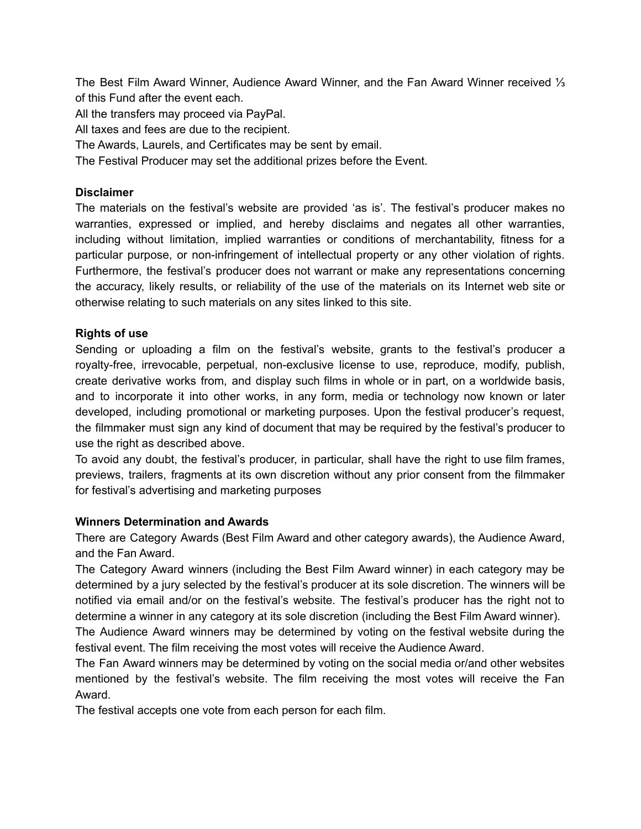The Best Film Award Winner, Audience Award Winner, and the Fan Award Winner received ⅓ of this Fund after the event each.

All the transfers may proceed via PayPal.

All taxes and fees are due to the recipient.

The Awards, Laurels, and Certificates may be sent by email.

The Festival Producer may set the additional prizes before the Event.

## **Disclaimer**

The materials on the festival's website are provided 'as is'. The festival's producer makes no warranties, expressed or implied, and hereby disclaims and negates all other warranties, including without limitation, implied warranties or conditions of merchantability, fitness for a particular purpose, or non-infringement of intellectual property or any other violation of rights. Furthermore, the festival's producer does not warrant or make any representations concerning the accuracy, likely results, or reliability of the use of the materials on its Internet web site or otherwise relating to such materials on any sites linked to this site.

## **Rights of use**

Sending or uploading a film on the festival's website, grants to the festival's producer a royalty-free, irrevocable, perpetual, non-exclusive license to use, reproduce, modify, publish, create derivative works from, and display such films in whole or in part, on a worldwide basis, and to incorporate it into other works, in any form, media or technology now known or later developed, including promotional or marketing purposes. Upon the festival producer's request, the filmmaker must sign any kind of document that may be required by the festival's producer to use the right as described above.

To avoid any doubt, the festival's producer, in particular, shall have the right to use film frames, previews, trailers, fragments at its own discretion without any prior consent from the filmmaker for festival's advertising and marketing purposes

### **Winners Determination and Awards**

There are Category Awards (Best Film Award and other category awards), the Audience Award, and the Fan Award.

The Category Award winners (including the Best Film Award winner) in each category may be determined by a jury selected by the festival's producer at its sole discretion. The winners will be notified via email and/or on the festival's website. The festival's producer has the right not to determine a winner in any category at its sole discretion (including the Best Film Award winner).

The Audience Award winners may be determined by voting on the festival website during the festival event. The film receiving the most votes will receive the Audience Award.

The Fan Award winners may be determined by voting on the social media or/and other websites mentioned by the festival's website. The film receiving the most votes will receive the Fan Award.

The festival accepts one vote from each person for each film.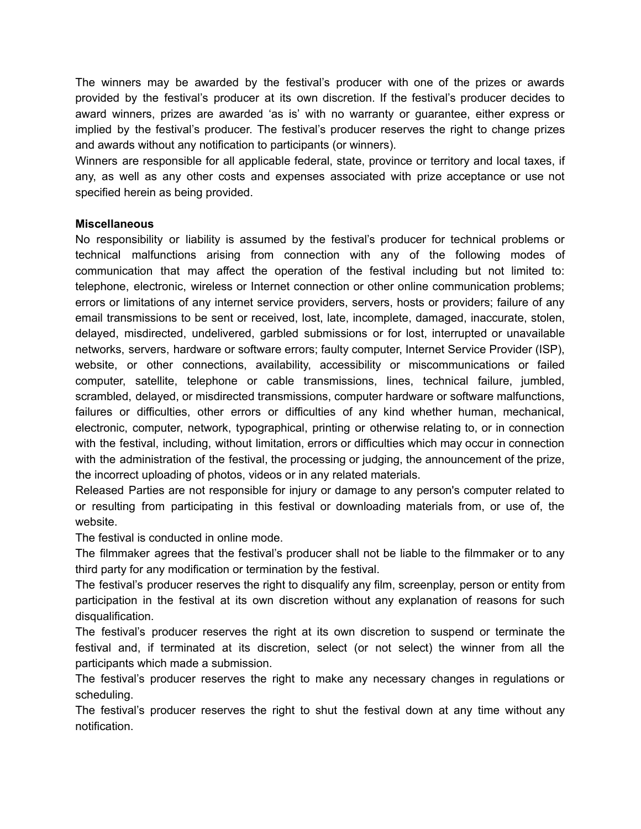The winners may be awarded by the festival's producer with one of the prizes or awards provided by the festival's producer at its own discretion. If the festival's producer decides to award winners, prizes are awarded 'as is' with no warranty or guarantee, either express or implied by the festival's producer. The festival's producer reserves the right to change prizes and awards without any notification to participants (or winners).

Winners are responsible for all applicable federal, state, province or territory and local taxes, if any, as well as any other costs and expenses associated with prize acceptance or use not specified herein as being provided.

### **Miscellaneous**

No responsibility or liability is assumed by the festival's producer for technical problems or technical malfunctions arising from connection with any of the following modes of communication that may affect the operation of the festival including but not limited to: telephone, electronic, wireless or Internet connection or other online communication problems; errors or limitations of any internet service providers, servers, hosts or providers; failure of any email transmissions to be sent or received, lost, late, incomplete, damaged, inaccurate, stolen, delayed, misdirected, undelivered, garbled submissions or for lost, interrupted or unavailable networks, servers, hardware or software errors; faulty computer, Internet Service Provider (ISP), website, or other connections, availability, accessibility or miscommunications or failed computer, satellite, telephone or cable transmissions, lines, technical failure, jumbled, scrambled, delayed, or misdirected transmissions, computer hardware or software malfunctions, failures or difficulties, other errors or difficulties of any kind whether human, mechanical, electronic, computer, network, typographical, printing or otherwise relating to, or in connection with the festival, including, without limitation, errors or difficulties which may occur in connection with the administration of the festival, the processing or judging, the announcement of the prize, the incorrect uploading of photos, videos or in any related materials.

Released Parties are not responsible for injury or damage to any person's computer related to or resulting from participating in this festival or downloading materials from, or use of, the website.

The festival is conducted in online mode.

The filmmaker agrees that the festival's producer shall not be liable to the filmmaker or to any third party for any modification or termination by the festival.

The festival's producer reserves the right to disqualify any film, screenplay, person or entity from participation in the festival at its own discretion without any explanation of reasons for such disqualification.

The festival's producer reserves the right at its own discretion to suspend or terminate the festival and, if terminated at its discretion, select (or not select) the winner from all the participants which made a submission.

The festival's producer reserves the right to make any necessary changes in regulations or scheduling.

The festival's producer reserves the right to shut the festival down at any time without any notification.